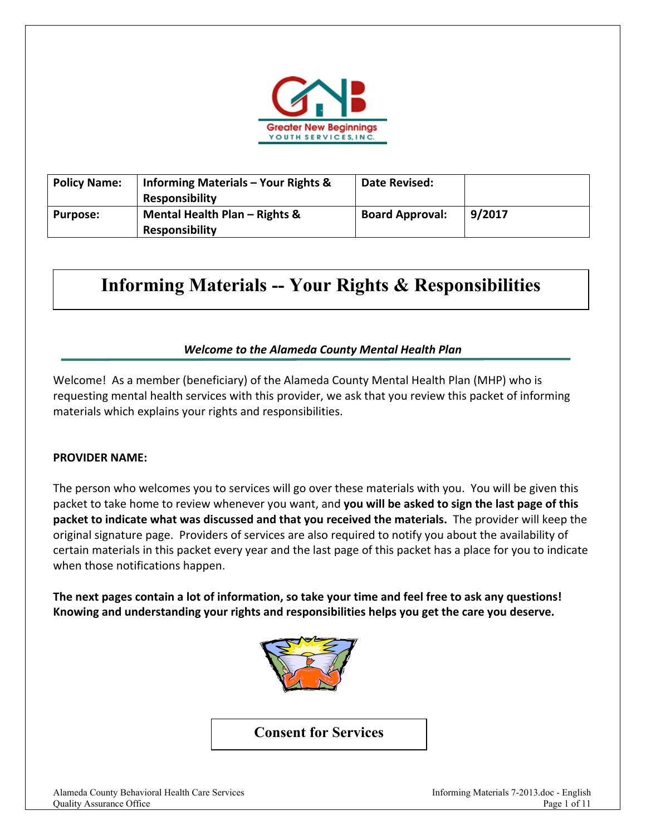

| <b>Policy Name:</b> | <b>Informing Materials - Your Rights &amp;</b><br><b>Responsibility</b> | <b>Date Revised:</b>   |        |
|---------------------|-------------------------------------------------------------------------|------------------------|--------|
| <b>Purpose:</b>     | Mental Health Plan - Rights &<br><b>Responsibility</b>                  | <b>Board Approval:</b> | 9/2017 |

# **Informing Materials -- Your Rights & Responsibilities**

## *Welcome to the Alameda County Mental Health Plan*

Welcome! As a member (beneficiary) of the Alameda County Mental Health Plan (MHP) who is requesting mental health services with this provider, we ask that you review this packet of informing materials which explains your rights and responsibilities.

#### **PROVIDER NAME:**

The person who welcomes you to services will go over these materials with you. You will be given this packet to take home to review whenever you want, and **you will be asked to sign the last page of this packet to indicate what was discussed and that you received the materials.** The provider will keep the original signature page. Providers of services are also required to notify you about the availability of certain materials in this packet every year and the last page of this packet has a place for you to indicate when those notifications happen.

**The next pages contain a lot of information, so take your time and feel free to ask any questions! Knowing and understanding your rights and responsibilities helps you get the care you deserve.** 



**Consent for Services**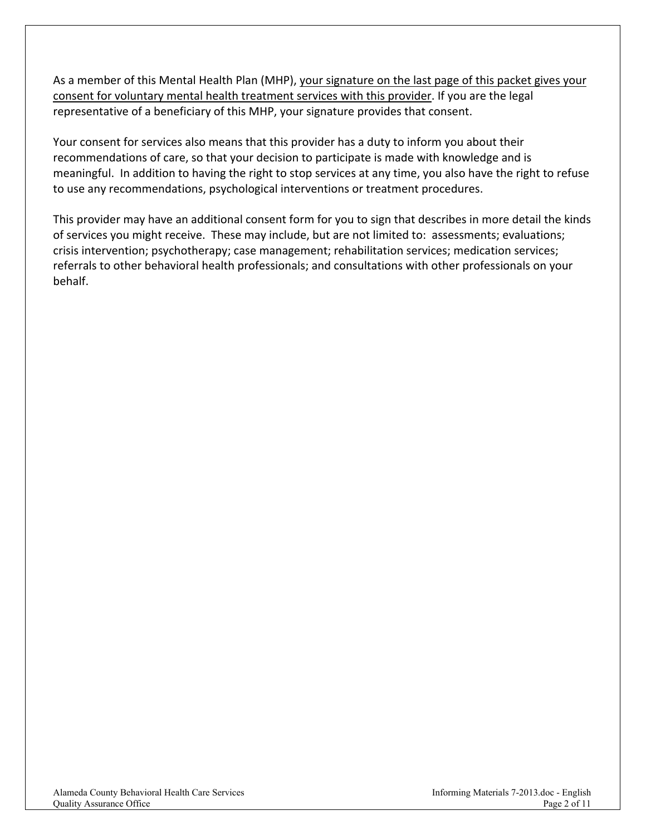As a member of this Mental Health Plan (MHP), your signature on the last page of this packet gives your consent for voluntary mental health treatment services with this provider. If you are the legal representative of a beneficiary of this MHP, your signature provides that consent.

Your consent for services also means that this provider has a duty to inform you about their recommendations of care, so that your decision to participate is made with knowledge and is meaningful. In addition to having the right to stop services at any time, you also have the right to refuse to use any recommendations, psychological interventions or treatment procedures.

This provider may have an additional consent form for you to sign that describes in more detail the kinds of services you might receive. These may include, but are not limited to: assessments; evaluations; crisis intervention; psychotherapy; case management; rehabilitation services; medication services; referrals to other behavioral health professionals; and consultations with other professionals on your behalf.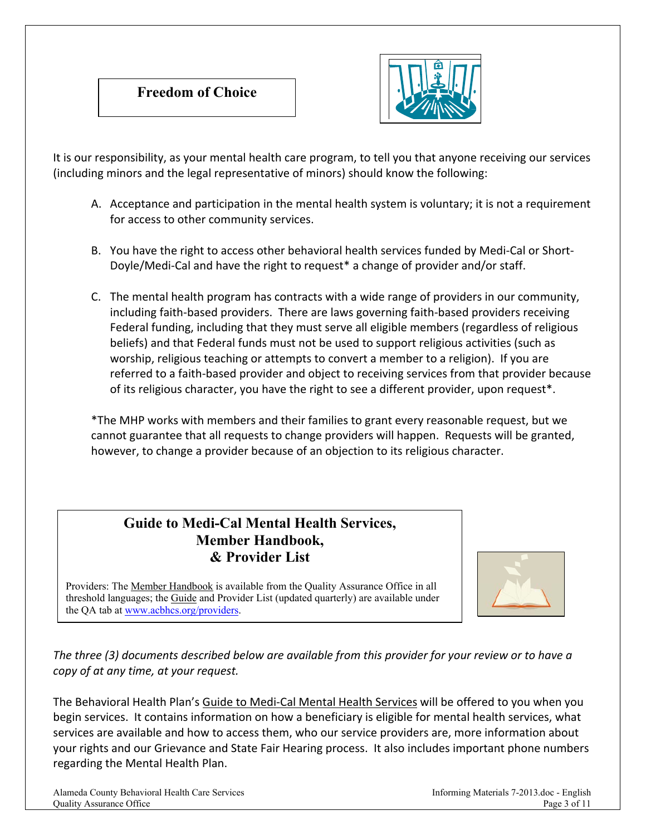



It is our responsibility, as your mental health care program, to tell you that anyone receiving our services (including minors and the legal representative of minors) should know the following:

- A. Acceptance and participation in the mental health system is voluntary; it is not a requirement for access to other community services.
- B. You have the right to access other behavioral health services funded by Medi‐Cal or Short‐ Doyle/Medi-Cal and have the right to request<sup>\*</sup> a change of provider and/or staff.
- C. The mental health program has contracts with a wide range of providers in our community, including faith‐based providers. There are laws governing faith‐based providers receiving Federal funding, including that they must serve all eligible members (regardless of religious beliefs) and that Federal funds must not be used to support religious activities (such as worship, religious teaching or attempts to convert a member to a religion). If you are referred to a faith‐based provider and object to receiving services from that provider because of its religious character, you have the right to see a different provider, upon request\*.

\*The MHP works with members and their families to grant every reasonable request, but we cannot guarantee that all requests to change providers will happen. Requests will be granted, however, to change a provider because of an objection to its religious character.

## **Guide to Medi-Cal Mental Health Services, Member Handbook, & Provider List**



the QA tab at www.acbhcs.org/providers. Providers: The Member Handbook is available from the Quality Assurance Office in all threshold languages; the Guide and Provider List (updated quarterly) are available under

*The three (3) documents described below are available from this provider for your review or to have a copy of at any time, at your request.*

The Behavioral Health Plan's Guide to Medi‐Cal Mental Health Services will be offered to you when you begin services. It contains information on how a beneficiary is eligible for mental health services, what services are available and how to access them, who our service providers are, more information about your rights and our Grievance and State Fair Hearing process. It also includes important phone numbers regarding the Mental Health Plan.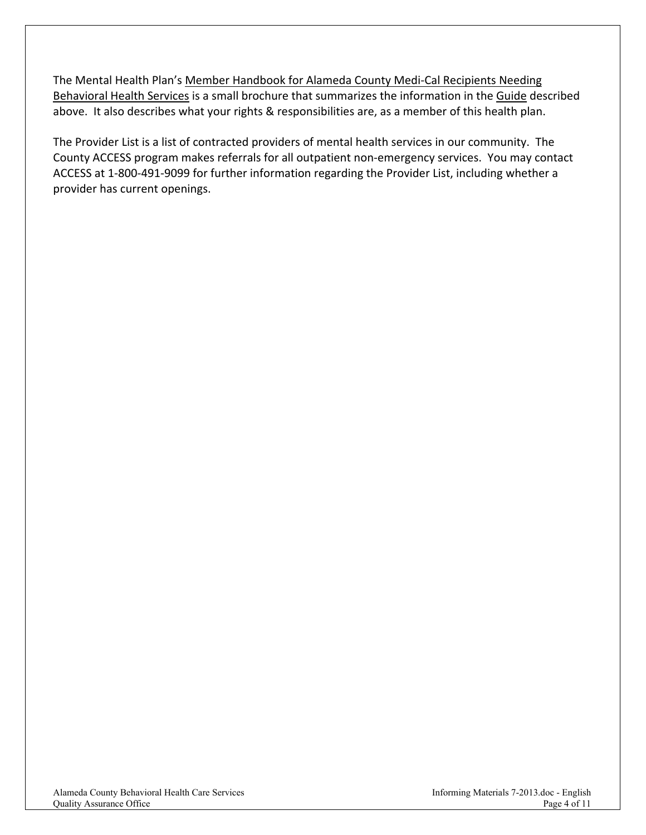The Mental Health Plan's Member Handbook for Alameda County Medi‐Cal Recipients Needing Behavioral Health Services is a small brochure that summarizes the information in the Guide described above. It also describes what your rights & responsibilities are, as a member of this health plan.

The Provider List is a list of contracted providers of mental health services in our community. The County ACCESS program makes referrals for all outpatient non‐emergency services. You may contact ACCESS at 1‐800‐491‐9099 for further information regarding the Provider List, including whether a provider has current openings.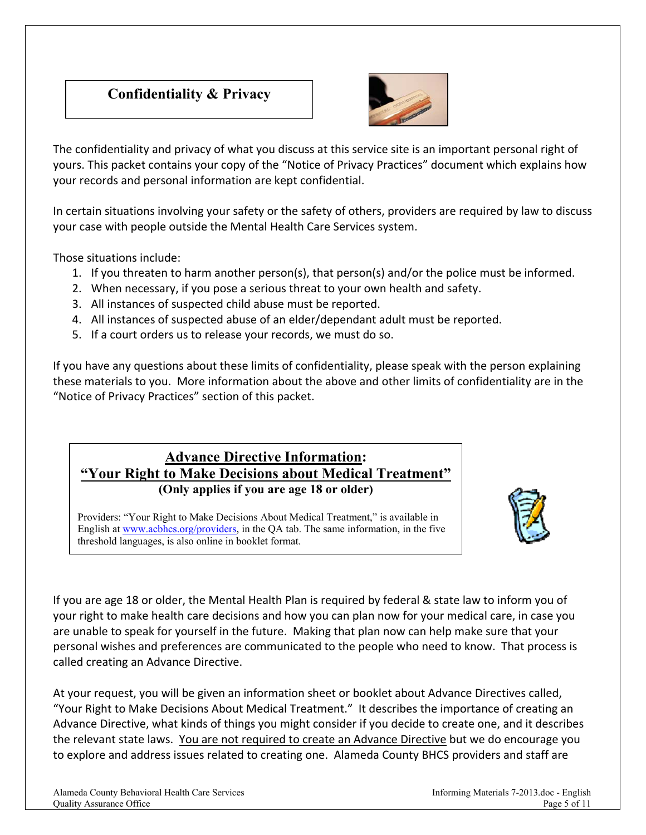# **Confidentiality & Privacy**



The confidentiality and privacy of what you discuss at this service site is an important personal right of yours. This packet contains your copy of the "Notice of Privacy Practices" document which explains how your records and personal information are kept confidential.

In certain situations involving your safety or the safety of others, providers are required by law to discuss your case with people outside the Mental Health Care Services system.

Those situations include:

- 1. If you threaten to harm another person(s), that person(s) and/or the police must be informed.
- 2. When necessary, if you pose a serious threat to your own health and safety.
- 3. All instances of suspected child abuse must be reported.
- 4. All instances of suspected abuse of an elder/dependant adult must be reported.
- 5. If a court orders us to release your records, we must do so.

If you have any questions about these limits of confidentiality, please speak with the person explaining these materials to you. More information about the above and other limits of confidentiality are in the "Notice of Privacy Practices" section of this packet.

## **Advance Directive Information: "Your Right to Make Decisions about Medical Treatment" (Only applies if you are age 18 or older)**

threshold languages, is also online in booklet format. Providers: "Your Right to Make Decisions About Medical Treatment," is available in English at www.acbhcs.org/providers, in the QA tab. The same information, in the five



If you are age 18 or older, the Mental Health Plan is required by federal & state law to inform you of your right to make health care decisions and how you can plan now for your medical care, in case you are unable to speak for yourself in the future. Making that plan now can help make sure that your personal wishes and preferences are communicated to the people who need to know. That process is called creating an Advance Directive.

At your request, you will be given an information sheet or booklet about Advance Directives called, "Your Right to Make Decisions About Medical Treatment." It describes the importance of creating an Advance Directive, what kinds of things you might consider if you decide to create one, and it describes the relevant state laws. You are not required to create an Advance Directive but we do encourage you to explore and address issues related to creating one. Alameda County BHCS providers and staff are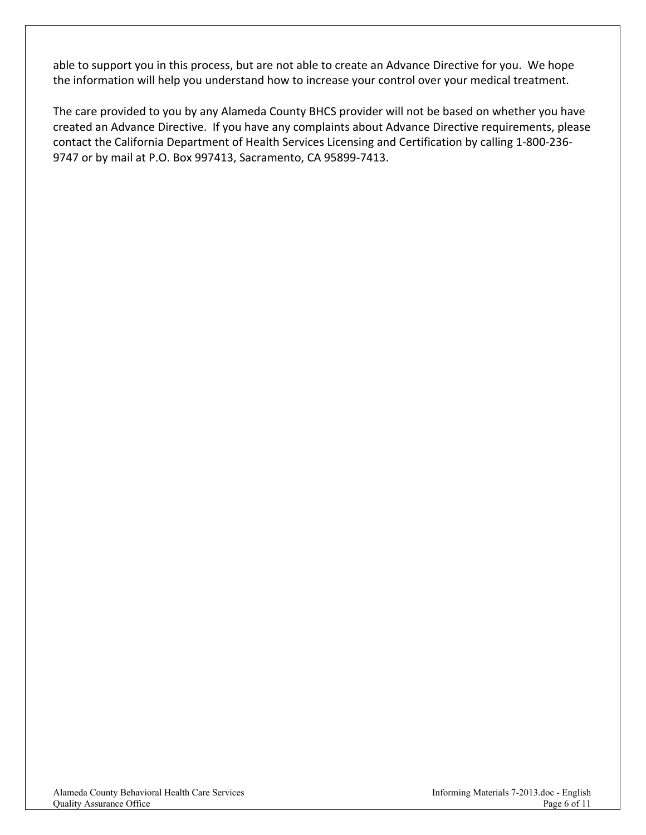able to support you in this process, but are not able to create an Advance Directive for you. We hope the information will help you understand how to increase your control over your medical treatment.

The care provided to you by any Alameda County BHCS provider will not be based on whether you have created an Advance Directive. If you have any complaints about Advance Directive requirements, please contact the California Department of Health Services Licensing and Certification by calling 1‐800‐236‐ 9747 or by mail at P.O. Box 997413, Sacramento, CA 95899‐7413.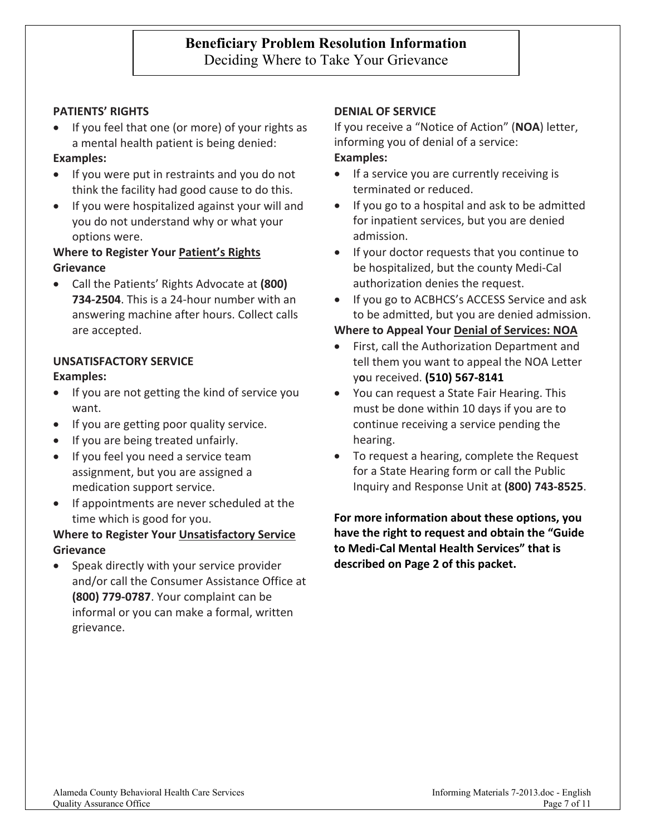#### **PATIENTS' RIGHTS**

• If you feel that one (or more) of your rights as a mental health patient is being denied:

#### **Examples:**

- If you were put in restraints and you do not think the facility had good cause to do this.
- If you were hospitalized against your will and you do not understand why or what your options were.

### **Where to Register Your Patient's Rights Grievance**

 Call the Patients' Rights Advocate at **(800) 734‐2504**. This is a 24‐hour number with an answering machine after hours. Collect calls are accepted.

#### **UNSATISFACTORY SERVICE**

#### **Examples:**

- If you are not getting the kind of service you want.
- If you are getting poor quality service.
- If you are being treated unfairly.
- If you feel you need a service team assignment, but you are assigned a medication support service.
- If appointments are never scheduled at the time which is good for you.

#### **Where to Register Your Unsatisfactory Service Grievance**

 Speak directly with your service provider and/or call the Consumer Assistance Office at **(800) 779‐0787**. Your complaint can be informal or you can make a formal, written grievance.

#### **DENIAL OF SERVICE**

If you receive a "Notice of Action" (**NOA**) letter, informing you of denial of a service: **Examples:**

- If a service you are currently receiving is terminated or reduced.
- If you go to a hospital and ask to be admitted for inpatient services, but you are denied admission.
- If your doctor requests that you continue to be hospitalized, but the county Medi‐Cal authorization denies the request.
- If you go to ACBHCS's ACCESS Service and ask to be admitted, but you are denied admission.

#### **Where to Appeal Your Denial of Services: NOA**

- First, call the Authorization Department and tell them you want to appeal the NOA Letter y**o**u received. **(510) 567‐8141**
- You can request a State Fair Hearing. This must be done within 10 days if you are to continue receiving a service pending the hearing.
- To request a hearing, complete the Request for a State Hearing form or call the Public Inquiry and Response Unit at **(800) 743‐8525**.

**For more information about these options, you have the right to request and obtain the "Guide to Medi‐Cal Mental Health Services" that is described on Page 2 of this packet.**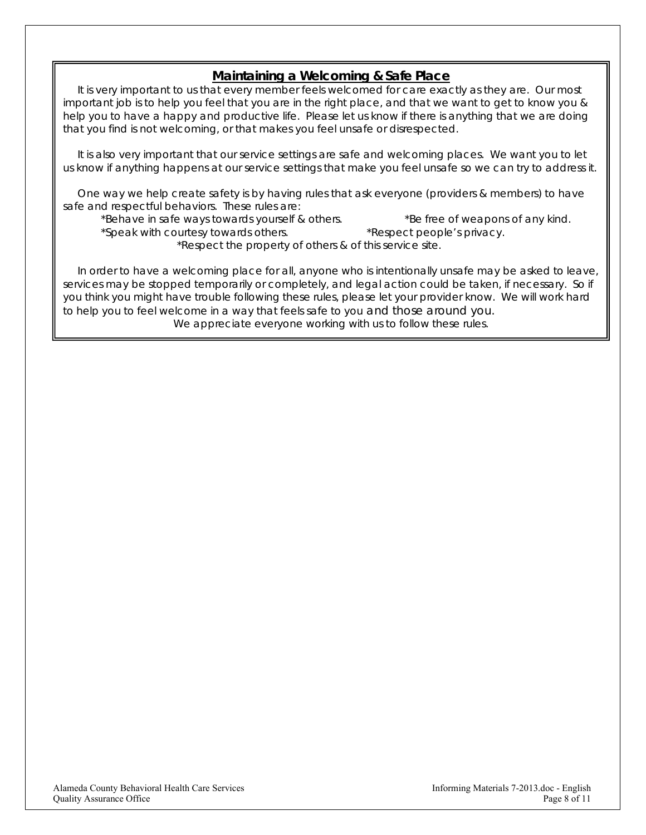## *Maintaining a Welcoming & Safe Place*

 *It is very important to us that every member feels welcomed for care exactly as they are. Our most*  important job is to help you feel that you are in the right place, and that we want to get to know you & *help you to have a happy and productive life. Please let us know if there is anything that we are doing that you find is not welcoming, or that makes you feel unsafe or disrespected.*

It is also very important that our service settings are safe and welcoming places. We want you to let *us know if anything happens at our service settings that make you feel unsafe so we can try to address it.*

 *One way we help create safety is by having rules that ask everyone (providers & members) to have safe and respectful behaviors. These rules are:* 

*\*Behave in safe ways towards yourself & others. \*Be free of weapons of any kind. \*Speak with courtesy towards others. \*Respect people's privacy. \*Respect the property of others & of this service site.* 

 *In order to have a welcoming place for all, anyone who is intentionally unsafe may be asked to leave, services may be stopped temporarily or completely, and legal action could be taken, if necessary. So if you think you might have trouble following these rules, please let your provider know. We will work hard to help you to feel welcome in a way that feels safe to you and those around you. We appreciate everyone working with us to follow these rules.*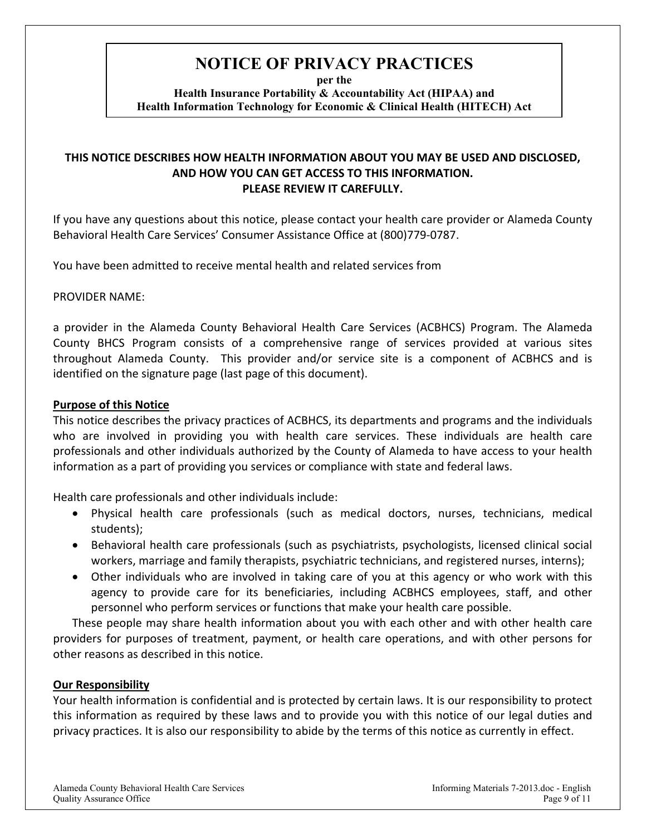# **NOTICE OF PRIVACY PRACTICES**

**per the** 

**Health Insurance Portability & Accountability Act (HIPAA) and Health Information Technology for Economic & Clinical Health (HITECH) Act**

## **THIS NOTICE DESCRIBES HOW HEALTH INFORMATION ABOUT YOU MAY BE USED AND DISCLOSED, AND HOW YOU CAN GET ACCESS TO THIS INFORMATION. PLEASE REVIEW IT CAREFULLY.**

If you have any questions about this notice, please contact your health care provider or Alameda County Behavioral Health Care Services' Consumer Assistance Office at (800)779‐0787.

You have been admitted to receive mental health and related services from

PROVIDER NAME:

a provider in the Alameda County Behavioral Health Care Services (ACBHCS) Program. The Alameda County BHCS Program consists of a comprehensive range of services provided at various sites throughout Alameda County. This provider and/or service site is a component of ACBHCS and is identified on the signature page (last page of this document).

## **Purpose of this Notice**

This notice describes the privacy practices of ACBHCS, its departments and programs and the individuals who are involved in providing you with health care services. These individuals are health care professionals and other individuals authorized by the County of Alameda to have access to your health information as a part of providing you services or compliance with state and federal laws.

Health care professionals and other individuals include:

- Physical health care professionals (such as medical doctors, nurses, technicians, medical students);
- Behavioral health care professionals (such as psychiatrists, psychologists, licensed clinical social workers, marriage and family therapists, psychiatric technicians, and registered nurses, interns);
- Other individuals who are involved in taking care of you at this agency or who work with this agency to provide care for its beneficiaries, including ACBHCS employees, staff, and other personnel who perform services or functions that make your health care possible.

These people may share health information about you with each other and with other health care providers for purposes of treatment, payment, or health care operations, and with other persons for other reasons as described in this notice.

## **Our Responsibility**

Your health information is confidential and is protected by certain laws. It is our responsibility to protect this information as required by these laws and to provide you with this notice of our legal duties and privacy practices. It is also our responsibility to abide by the terms of this notice as currently in effect.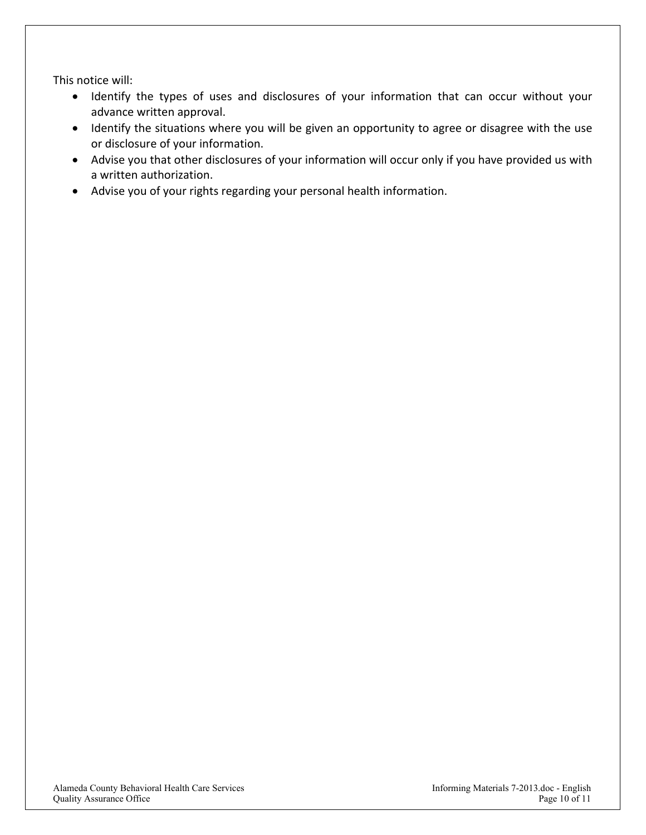This notice will:

- Identify the types of uses and disclosures of your information that can occur without your advance written approval.
- Identify the situations where you will be given an opportunity to agree or disagree with the use or disclosure of your information.
- Advise you that other disclosures of your information will occur only if you have provided us with a written authorization.
- Advise you of your rights regarding your personal health information.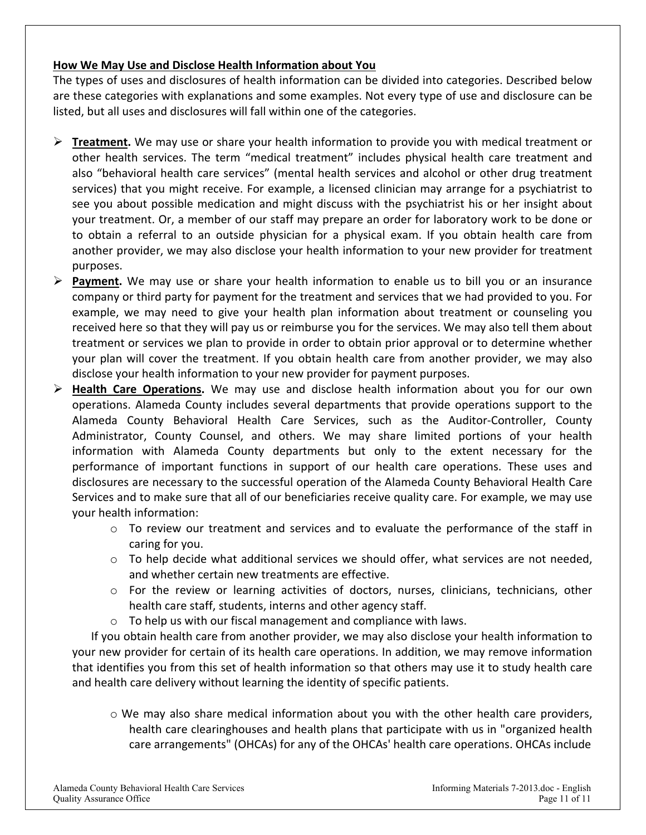## **How We May Use and Disclose Health Information about You**

The types of uses and disclosures of health information can be divided into categories. Described below are these categories with explanations and some examples. Not every type of use and disclosure can be listed, but all uses and disclosures will fall within one of the categories.

- **Treatment.** We may use or share your health information to provide you with medical treatment or other health services. The term "medical treatment" includes physical health care treatment and also "behavioral health care services" (mental health services and alcohol or other drug treatment services) that you might receive. For example, a licensed clinician may arrange for a psychiatrist to see you about possible medication and might discuss with the psychiatrist his or her insight about your treatment. Or, a member of our staff may prepare an order for laboratory work to be done or to obtain a referral to an outside physician for a physical exam. If you obtain health care from another provider, we may also disclose your health information to your new provider for treatment purposes.
- **Payment.** We may use or share your health information to enable us to bill you or an insurance company or third party for payment for the treatment and services that we had provided to you. For example, we may need to give your health plan information about treatment or counseling you received here so that they will pay us or reimburse you for the services. We may also tell them about treatment or services we plan to provide in order to obtain prior approval or to determine whether your plan will cover the treatment. If you obtain health care from another provider, we may also disclose your health information to your new provider for payment purposes.
- **Health Care Operations.** We may use and disclose health information about you for our own operations. Alameda County includes several departments that provide operations support to the Alameda County Behavioral Health Care Services, such as the Auditor‐Controller, County Administrator, County Counsel, and others. We may share limited portions of your health information with Alameda County departments but only to the extent necessary for the performance of important functions in support of our health care operations. These uses and disclosures are necessary to the successful operation of the Alameda County Behavioral Health Care Services and to make sure that all of our beneficiaries receive quality care. For example, we may use your health information:
	- $\circ$  To review our treatment and services and to evaluate the performance of the staff in caring for you.
	- $\circ$  To help decide what additional services we should offer, what services are not needed, and whether certain new treatments are effective.
	- $\circ$  For the review or learning activities of doctors, nurses, clinicians, technicians, other health care staff, students, interns and other agency staff.
	- o To help us with our fiscal management and compliance with laws.

 If you obtain health care from another provider, we may also disclose your health information to your new provider for certain of its health care operations. In addition, we may remove information that identifies you from this set of health information so that others may use it to study health care and health care delivery without learning the identity of specific patients.

 $\circ$  We may also share medical information about you with the other health care providers, health care clearinghouses and health plans that participate with us in "organized health care arrangements" (OHCAs) for any of the OHCAs' health care operations. OHCAs include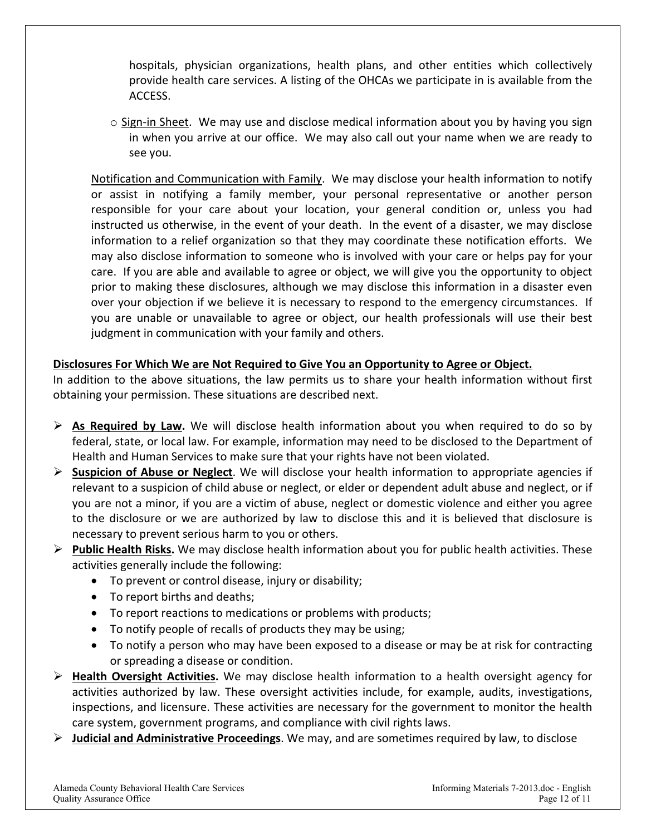hospitals, physician organizations, health plans, and other entities which collectively provide health care services. A listing of the OHCAs we participate in is available from the ACCESS.

 $\circ$  Sign-in Sheet. We may use and disclose medical information about you by having you sign in when you arrive at our office. We may also call out your name when we are ready to see you.

Notification and Communication with Family. We may disclose your health information to notify or assist in notifying a family member, your personal representative or another person responsible for your care about your location, your general condition or, unless you had instructed us otherwise, in the event of your death. In the event of a disaster, we may disclose information to a relief organization so that they may coordinate these notification efforts. We may also disclose information to someone who is involved with your care or helps pay for your care. If you are able and available to agree or object, we will give you the opportunity to object prior to making these disclosures, although we may disclose this information in a disaster even over your objection if we believe it is necessary to respond to the emergency circumstances. If you are unable or unavailable to agree or object, our health professionals will use their best judgment in communication with your family and others.

## **Disclosures For Which We are Not Required to Give You an Opportunity to Agree or Object.**

In addition to the above situations, the law permits us to share your health information without first obtaining your permission. These situations are described next.

- $\triangleright$  **As Required by Law.** We will disclose health information about you when required to do so by federal, state, or local law. For example, information may need to be disclosed to the Department of Health and Human Services to make sure that your rights have not been violated.
- **Suspicion of Abuse or Neglect**. We will disclose your health information to appropriate agencies if relevant to a suspicion of child abuse or neglect, or elder or dependent adult abuse and neglect, or if you are not a minor, if you are a victim of abuse, neglect or domestic violence and either you agree to the disclosure or we are authorized by law to disclose this and it is believed that disclosure is necessary to prevent serious harm to you or others.
- **Public Health Risks.** We may disclose health information about you for public health activities. These activities generally include the following:
	- To prevent or control disease, injury or disability;
	- To report births and deaths;
	- To report reactions to medications or problems with products;
	- To notify people of recalls of products they may be using;
	- To notify a person who may have been exposed to a disease or may be at risk for contracting or spreading a disease or condition.
- **Health Oversight Activities.** We may disclose health information to a health oversight agency for activities authorized by law. These oversight activities include, for example, audits, investigations, inspections, and licensure. These activities are necessary for the government to monitor the health care system, government programs, and compliance with civil rights laws.
- **Judicial and Administrative Proceedings**. We may, and are sometimes required by law, to disclose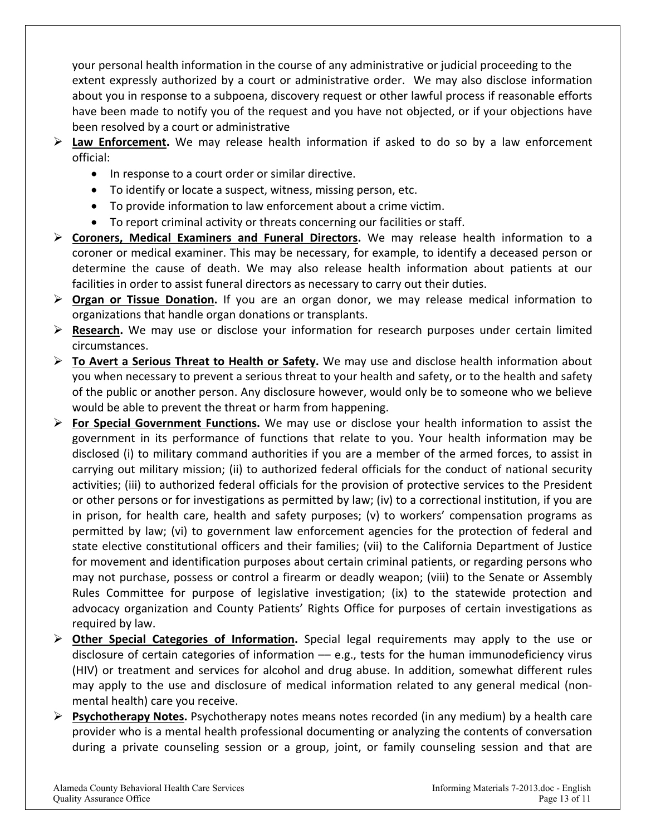your personal health information in the course of any administrative or judicial proceeding to the extent expressly authorized by a court or administrative order. We may also disclose information about you in response to a subpoena, discovery request or other lawful process if reasonable efforts have been made to notify you of the request and you have not objected, or if your objections have been resolved by a court or administrative

- $\triangleright$  **Law Enforcement.** We may release health information if asked to do so by a law enforcement official:
	- In response to a court order or similar directive.
	- To identify or locate a suspect, witness, missing person, etc.
	- To provide information to law enforcement about a crime victim.
	- To report criminal activity or threats concerning our facilities or staff.
- **Coroners, Medical Examiners and Funeral Directors.** We may release health information to a coroner or medical examiner. This may be necessary, for example, to identify a deceased person or determine the cause of death. We may also release health information about patients at our facilities in order to assist funeral directors as necessary to carry out their duties.
- **Organ or Tissue Donation.** If you are an organ donor, we may release medical information to organizations that handle organ donations or transplants.
- **Research.** We may use or disclose your information for research purposes under certain limited circumstances.
- **To Avert a Serious Threat to Health or Safety.** We may use and disclose health information about you when necessary to prevent a serious threat to your health and safety, or to the health and safety of the public or another person. Any disclosure however, would only be to someone who we believe would be able to prevent the threat or harm from happening.
- **For Special Government Functions.** We may use or disclose your health information to assist the government in its performance of functions that relate to you. Your health information may be disclosed (i) to military command authorities if you are a member of the armed forces, to assist in carrying out military mission; (ii) to authorized federal officials for the conduct of national security activities; (iii) to authorized federal officials for the provision of protective services to the President or other persons or for investigations as permitted by law; (iv) to a correctional institution, if you are in prison, for health care, health and safety purposes; (v) to workers' compensation programs as permitted by law; (vi) to government law enforcement agencies for the protection of federal and state elective constitutional officers and their families; (vii) to the California Department of Justice for movement and identification purposes about certain criminal patients, or regarding persons who may not purchase, possess or control a firearm or deadly weapon; (viii) to the Senate or Assembly Rules Committee for purpose of legislative investigation; (ix) to the statewide protection and advocacy organization and County Patients' Rights Office for purposes of certain investigations as required by law.
- **► Other Special Categories of Information.** Special legal requirements may apply to the use or disclosure of certain categories of information - e.g., tests for the human immunodeficiency virus (HIV) or treatment and services for alcohol and drug abuse. In addition, somewhat different rules may apply to the use and disclosure of medical information related to any general medical (nonmental health) care you receive.
- **Psychotherapy Notes.** Psychotherapy notes means notes recorded (in any medium) by a health care provider who is a mental health professional documenting or analyzing the contents of conversation during a private counseling session or a group, joint, or family counseling session and that are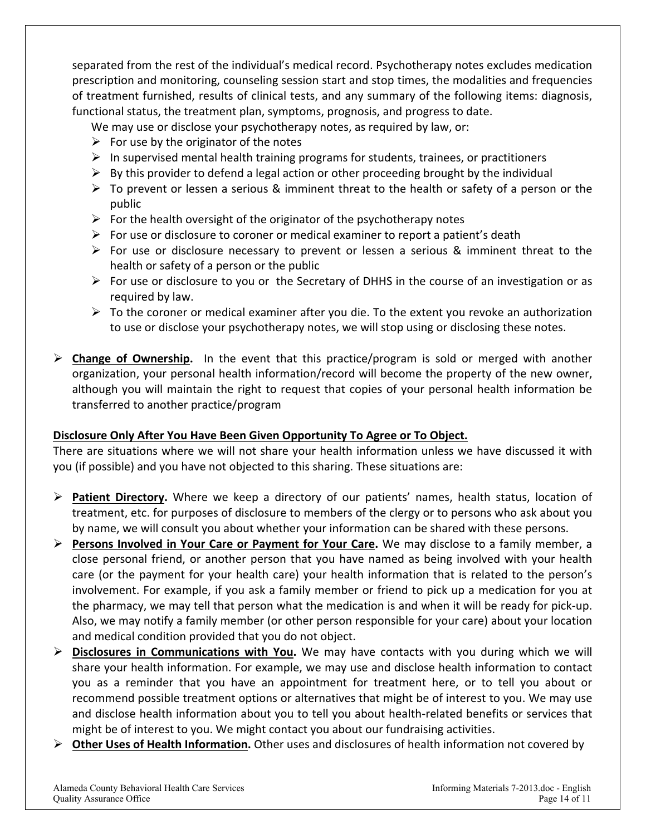separated from the rest of the individual's medical record. Psychotherapy notes excludes medication prescription and monitoring, counseling session start and stop times, the modalities and frequencies of treatment furnished, results of clinical tests, and any summary of the following items: diagnosis, functional status, the treatment plan, symptoms, prognosis, and progress to date.

We may use or disclose your psychotherapy notes, as required by law, or:

- $\triangleright$  For use by the originator of the notes
- $\triangleright$  In supervised mental health training programs for students, trainees, or practitioners
- $\triangleright$  By this provider to defend a legal action or other proceeding brought by the individual
- $\triangleright$  To prevent or lessen a serious & imminent threat to the health or safety of a person or the public
- $\triangleright$  For the health oversight of the originator of the psychotherapy notes
- $\triangleright$  For use or disclosure to coroner or medical examiner to report a patient's death
- $\triangleright$  For use or disclosure necessary to prevent or lessen a serious & imminent threat to the health or safety of a person or the public
- $\triangleright$  For use or disclosure to you or the Secretary of DHHS in the course of an investigation or as required by law.
- $\triangleright$  To the coroner or medical examiner after you die. To the extent you revoke an authorization to use or disclose your psychotherapy notes, we will stop using or disclosing these notes.

 **Change of Ownership.** In the event that this practice/program is sold or merged with another organization, your personal health information/record will become the property of the new owner, although you will maintain the right to request that copies of your personal health information be transferred to another practice/program

## **Disclosure Only After You Have Been Given Opportunity To Agree or To Object.**

There are situations where we will not share your health information unless we have discussed it with you (if possible) and you have not objected to this sharing. These situations are:

- **Patient Directory.** Where we keep a directory of our patients' names, health status, location of treatment, etc. for purposes of disclosure to members of the clergy or to persons who ask about you by name, we will consult you about whether your information can be shared with these persons.
- **Persons Involved in Your Care or Payment for Your Care.** We may disclose to a family member, a close personal friend, or another person that you have named as being involved with your health care (or the payment for your health care) your health information that is related to the person's involvement. For example, if you ask a family member or friend to pick up a medication for you at the pharmacy, we may tell that person what the medication is and when it will be ready for pick‐up. Also, we may notify a family member (or other person responsible for your care) about your location and medical condition provided that you do not object.
- **Disclosures in Communications with You.** We may have contacts with you during which we will share your health information. For example, we may use and disclose health information to contact you as a reminder that you have an appointment for treatment here, or to tell you about or recommend possible treatment options or alternatives that might be of interest to you. We may use and disclose health information about you to tell you about health-related benefits or services that might be of interest to you. We might contact you about our fundraising activities.
- **Other Uses of Health Information.** Other uses and disclosures of health information not covered by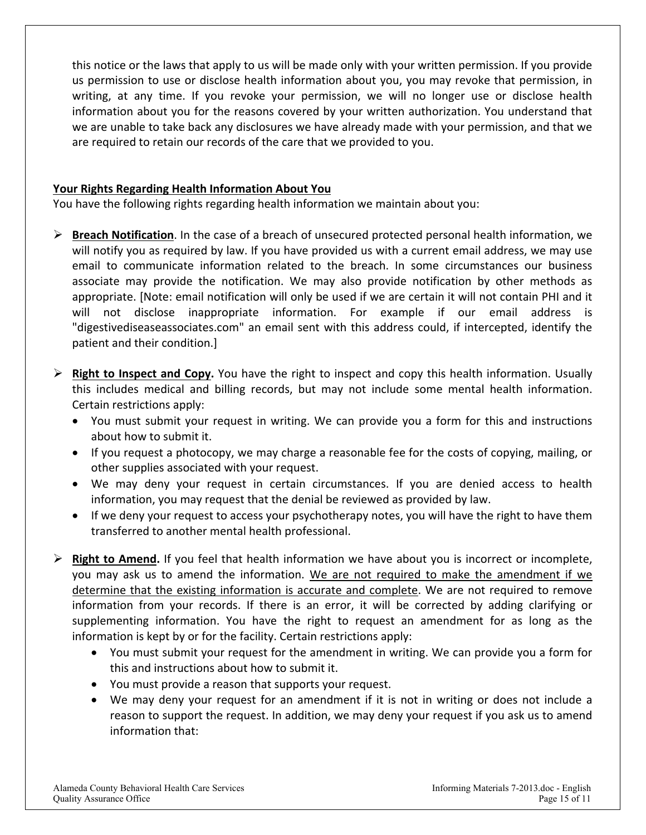this notice or the laws that apply to us will be made only with your written permission. If you provide us permission to use or disclose health information about you, you may revoke that permission, in writing, at any time. If you revoke your permission, we will no longer use or disclose health information about you for the reasons covered by your written authorization. You understand that we are unable to take back any disclosures we have already made with your permission, and that we are required to retain our records of the care that we provided to you.

## **Your Rights Regarding Health Information About You**

You have the following rights regarding health information we maintain about you:

- **Breach Notification**. In the case of a breach of unsecured protected personal health information, we will notify you as required by law. If you have provided us with a current email address, we may use email to communicate information related to the breach. In some circumstances our business associate may provide the notification. We may also provide notification by other methods as appropriate. [Note: email notification will only be used if we are certain it will not contain PHI and it will not disclose inappropriate information. For example if our email address is "digestivediseaseassociates.com" an email sent with this address could, if intercepted, identify the patient and their condition.]
- $\triangleright$  **Right to Inspect and Copy.** You have the right to inspect and copy this health information. Usually this includes medical and billing records, but may not include some mental health information. Certain restrictions apply:
	- You must submit your request in writing. We can provide you a form for this and instructions about how to submit it.
	- If you request a photocopy, we may charge a reasonable fee for the costs of copying, mailing, or other supplies associated with your request.
	- We may deny your request in certain circumstances. If you are denied access to health information, you may request that the denial be reviewed as provided by law.
	- If we deny your request to access your psychotherapy notes, you will have the right to have them transferred to another mental health professional.
- $\triangleright$  **Right to Amend.** If you feel that health information we have about you is incorrect or incomplete, you may ask us to amend the information. We are not required to make the amendment if we determine that the existing information is accurate and complete. We are not required to remove information from your records. If there is an error, it will be corrected by adding clarifying or supplementing information. You have the right to request an amendment for as long as the information is kept by or for the facility. Certain restrictions apply:
	- You must submit your request for the amendment in writing. We can provide you a form for this and instructions about how to submit it.
	- You must provide a reason that supports your request.
	- We may deny your request for an amendment if it is not in writing or does not include a reason to support the request. In addition, we may deny your request if you ask us to amend information that: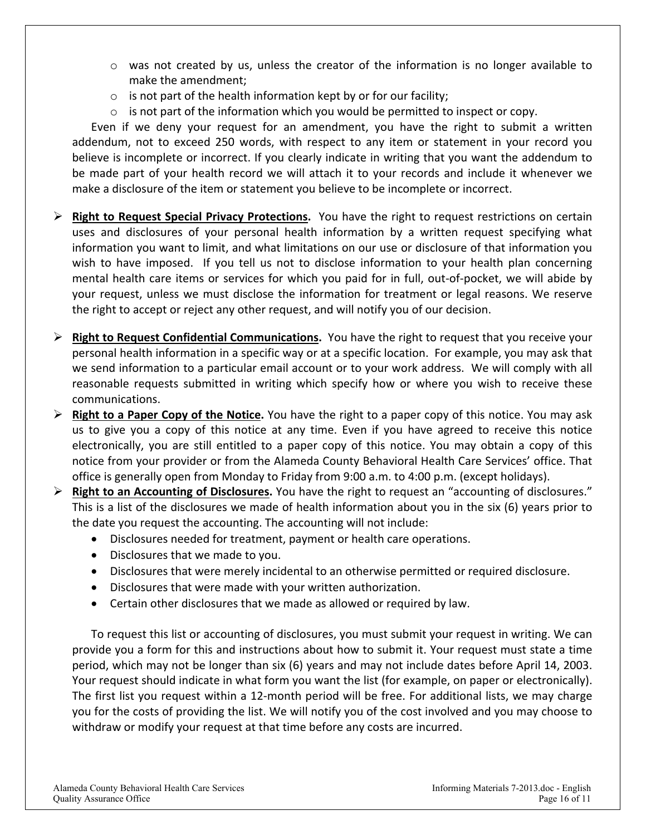- $\circ$  was not created by us, unless the creator of the information is no longer available to make the amendment;
- $\circ$  is not part of the health information kept by or for our facility;
- $\circ$  is not part of the information which you would be permitted to inspect or copy.

Even if we deny your request for an amendment, you have the right to submit a written addendum, not to exceed 250 words, with respect to any item or statement in your record you believe is incomplete or incorrect. If you clearly indicate in writing that you want the addendum to be made part of your health record we will attach it to your records and include it whenever we make a disclosure of the item or statement you believe to be incomplete or incorrect.

- **Right to Request Special Privacy Protections.** You have the right to request restrictions on certain uses and disclosures of your personal health information by a written request specifying what information you want to limit, and what limitations on our use or disclosure of that information you wish to have imposed. If you tell us not to disclose information to your health plan concerning mental health care items or services for which you paid for in full, out-of-pocket, we will abide by your request, unless we must disclose the information for treatment or legal reasons. We reserve the right to accept or reject any other request, and will notify you of our decision.
- **Right to Request Confidential Communications.** You have the right to request that you receive your personal health information in a specific way or at a specific location. For example, you may ask that we send information to a particular email account or to your work address. We will comply with all reasonable requests submitted in writing which specify how or where you wish to receive these communications.
- **Right to a Paper Copy of the Notice.** You have the right to a paper copy of this notice. You may ask us to give you a copy of this notice at any time. Even if you have agreed to receive this notice electronically, you are still entitled to a paper copy of this notice. You may obtain a copy of this notice from your provider or from the Alameda County Behavioral Health Care Services' office. That office is generally open from Monday to Friday from 9:00 a.m. to 4:00 p.m. (except holidays).
- **Right to an Accounting of Disclosures.** You have the right to request an "accounting of disclosures." This is a list of the disclosures we made of health information about you in the six (6) years prior to the date you request the accounting. The accounting will not include:
	- Disclosures needed for treatment, payment or health care operations.
	- Disclosures that we made to you.
	- Disclosures that were merely incidental to an otherwise permitted or required disclosure.
	- Disclosures that were made with your written authorization.
	- Certain other disclosures that we made as allowed or required by law.

To request this list or accounting of disclosures, you must submit your request in writing. We can provide you a form for this and instructions about how to submit it. Your request must state a time period, which may not be longer than six (6) years and may not include dates before April 14, 2003. Your request should indicate in what form you want the list (for example, on paper or electronically). The first list you request within a 12-month period will be free. For additional lists, we may charge you for the costs of providing the list. We will notify you of the cost involved and you may choose to withdraw or modify your request at that time before any costs are incurred.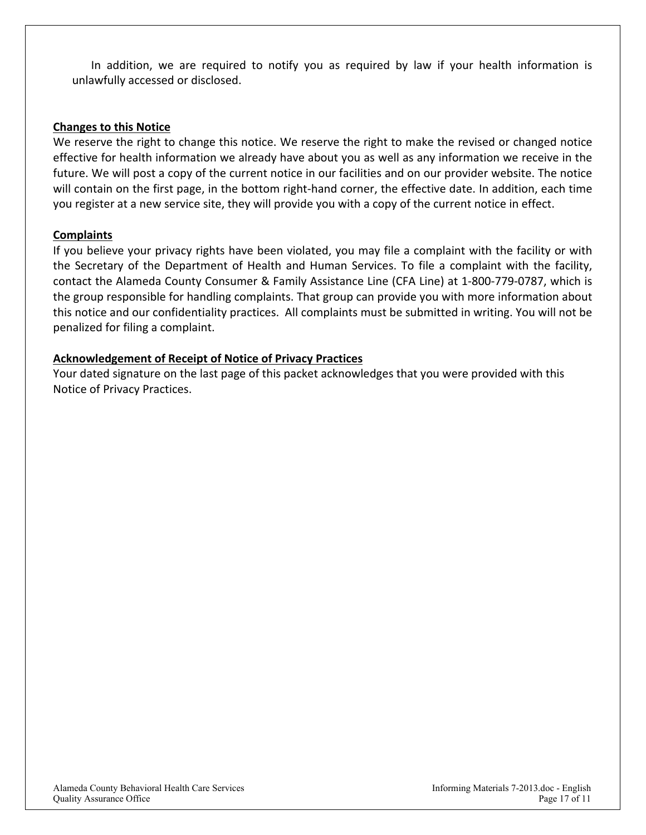In addition, we are required to notify you as required by law if your health information is unlawfully accessed or disclosed.

#### **Changes to this Notice**

We reserve the right to change this notice. We reserve the right to make the revised or changed notice effective for health information we already have about you as well as any information we receive in the future. We will post a copy of the current notice in our facilities and on our provider website. The notice will contain on the first page, in the bottom right-hand corner, the effective date. In addition, each time you register at a new service site, they will provide you with a copy of the current notice in effect.

#### **Complaints**

If you believe your privacy rights have been violated, you may file a complaint with the facility or with the Secretary of the Department of Health and Human Services. To file a complaint with the facility, contact the Alameda County Consumer & Family Assistance Line (CFA Line) at 1‐800‐779‐0787, which is the group responsible for handling complaints. That group can provide you with more information about this notice and our confidentiality practices. All complaints must be submitted in writing. You will not be penalized for filing a complaint.

#### **Acknowledgement of Receipt of Notice of Privacy Practices**

Your dated signature on the last page of this packet acknowledges that you were provided with this Notice of Privacy Practices.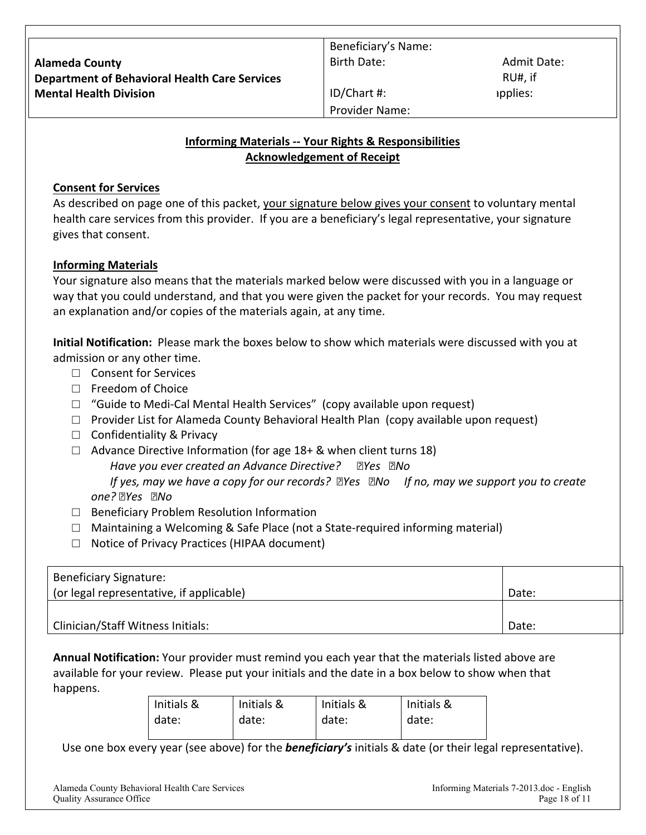RU#, if applies:

Provider Name:

ID/Chart #:

## **Informing Materials ‐‐ Your Rights & Responsibilities Acknowledgement of Receipt**

## **Consent for Services**

As described on page one of this packet, your signature below gives your consent to voluntary mental health care services from this provider. If you are a beneficiary's legal representative, your signature gives that consent.

## **Informing Materials**

Your signature also means that the materials marked below were discussed with you in a language or way that you could understand, and that you were given the packet for your records. You may request an explanation and/or copies of the materials again, at any time.

**Initial Notification:** Please mark the boxes below to show which materials were discussed with you at admission or any other time.

- □ Consent for Services
- □ Freedom of Choice
- $\Box$  "Guide to Medi-Cal Mental Health Services" (copy available upon request)
- $\Box$  Provider List for Alameda County Behavioral Health Plan (copy available upon request)
- □ Confidentiality & Privacy
- $\Box$  Advance Directive Information (for age 18+ & when client turns 18)

*Have you ever created an Advance Directive? Yes No* 

If yes, may we have a copy for our records? *ZYes ZNo* If no, may we support you to create *one? Yes No*

- □ Beneficiary Problem Resolution Information
- □ Maintaining a Welcoming & Safe Place (not a State-required informing material)
- □ Notice of Privacy Practices (HIPAA document)

| Beneficiary Signature:                   |       |
|------------------------------------------|-------|
| (or legal representative, if applicable) | Date: |
|                                          |       |
| Clinician/Staff Witness Initials:        | Date: |

**Annual Notification:** Your provider must remind you each year that the materials listed above are available for your review. Please put your initials and the date in a box below to show when that happens.

| Initials & | Initials & | Initials & | Initials & |
|------------|------------|------------|------------|
| date:      | date:      | date:      | date:      |

Use one box every year (see above) for the *beneficiary's* initials & date (or their legal representative).